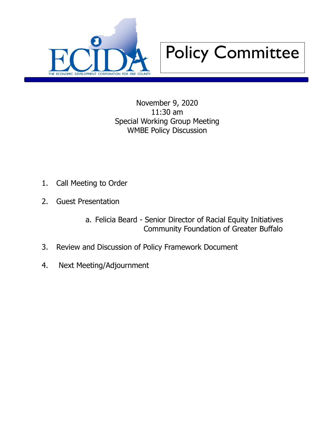



November 9, 2020 11:30 am Special Working Group Meeting WMBE Policy Discussion

- 1. Call Meeting to Order
- 2. Guest Presentation
	- a. Felicia Beard Senior Director of Racial Equity Initiatives Community Foundation of Greater Buffalo
- 3. Review and Discussion of Policy Framework Document
- 4. Next Meeting/Adjournment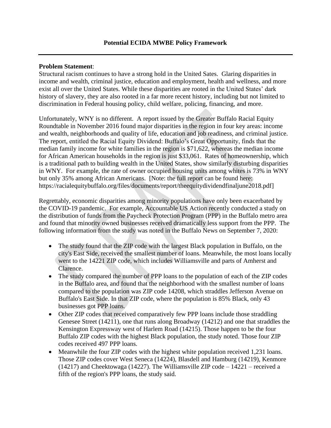#### **Problem Statement**:

Structural racism continues to have a strong hold in the United Sates. Glaring disparities in income and wealth, criminal justice, education and employment, health and wellness, and more exist all over the United States. While these disparities are rooted in the United States' dark history of slavery, they are also rooted in a far more recent history, including but not limited to discrimination in Federal housing policy, child welfare, policing, financing, and more.

Unfortunately, WNY is no different. A report issued by the Greater Buffalo Racial Equity Roundtable in November 2016 found major disparities in the region in four key areas: income and wealth, neighborhoods and quality of life, education and job readiness, and criminal justice. The report, entitled the Racial Equity Dividend: Buffalo's Great Opportunity, finds that the median family income for white families in the region is \$71,622, whereas the median income for African American households in the region is just \$33,061. Rates of homeownership, which is a traditional path to building wealth in the United States, show similarly disturbing disparities in WNY. For example, the rate of owner occupied housing units among whites is 73% in WNY but only 35% among African Americans. [Note: the full report can be found here: https://racialequitybuffalo.org/files/documents/report/theequitydividendfinaljune2018.pdf]

Regrettably, economic disparities among minority populations have only been exacerbated by the COVID-19 pandemic. For example, Accountable US Action recently conducted a study on the distribution of funds from the Paycheck Protection Program (PPP) in the Buffalo metro area and found that minority owned businesses received dramatically less support from the PPP. The following information from the study was noted in the Buffalo News on September 7, 2020:

- The study found that the ZIP code with the largest Black population in Buffalo, on the city's East Side, received the smallest number of loans. Meanwhile, the most loans locally went to the 14221 ZIP code, which includes Williamsville and parts of Amherst and Clarence.
- The study compared the number of PPP loans to the population of each of the ZIP codes in the Buffalo area, and found that the neighborhood with the smallest number of loans compared to the population was ZIP code 14208, which straddles Jefferson Avenue on Buffalo's East Side. In that ZIP code, where the population is 85% Black, only 43 businesses got PPP loans.
- Other ZIP codes that received comparatively few PPP loans include those straddling Genesee Street (14211), one that runs along Broadway (14212) and one that straddles the Kensington Expressway west of Harlem Road (14215). Those happen to be the four Buffalo ZIP codes with the highest Black population, the study noted. Those four ZIP codes received 497 PPP loans.
- Meanwhile the four ZIP codes with the highest white population received 1,231 loans. Those ZIP codes cover West Seneca (14224), Blasdell and Hamburg (14219), Kenmore (14217) and Cheektowaga (14227). The Williamsville ZIP code – 14221 – received a fifth of the region's PPP loans, the study said.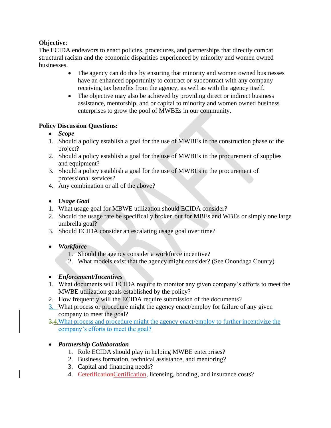## **Objective**:

The ECIDA endeavors to enact policies, procedures, and partnerships that directly combat structural racism and the economic disparities experienced by minority and women owned businesses.

- The agency can do this by ensuring that minority and women owned businesses have an enhanced opportunity to contract or subcontract with any company receiving tax benefits from the agency, as well as with the agency itself.
- The objective may also be achieved by providing direct or indirect business assistance, mentorship, and or capital to minority and women owned business enterprises to grow the pool of MWBEs in our community.

### **Policy Discussion Questions:**

- *Scope*
- 1. Should a policy establish a goal for the use of MWBEs in the construction phase of the project?
- 2. Should a policy establish a goal for the use of MWBEs in the procurement of supplies and equipment?
- 3. Should a policy establish a goal for the use of MWBEs in the procurement of professional services?
- 4. Any combination or all of the above?

## • *Usage Goal*

- 1. What usage goal for MBWE utilization should ECIDA consider?
- 2. Should the usage rate be specifically broken out for MBEs and WBEs or simply one large umbrella goal?
- 3. Should ECIDA consider an escalating usage goal over time?

# • *Workforce*

- 1. Should the agency consider a workforce incentive?
- 2. What models exist that the agency might consider? (See Onondaga County)

### • *Enforcement/Incentives*

- 1. What documents will ECIDA require to monitor any given company's efforts to meet the MWBE utilization goals established by the policy?
- 2. How frequently will the ECIDA require submission of the documents?
- 3. What process or procedure might the agency enact/employ for failure of any given company to meet the goal?
- 3.4.What process and procedure might the agency enact/employ to further incentivize the company's efforts to meet the goal?

# • *Partnership Collaboration*

- 1. Role ECIDA should play in helping MWBE enterprises?
- 2. Business formation, technical assistance, and mentoring?
- 3. Capital and financing needs?
- 4. CeterificationCertification, licensing, bonding, and insurance costs?